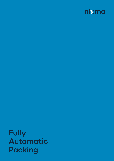

Fully Automatic Packing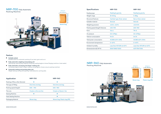### Feature

- **•** Suitable extent Suitable extent for automatic packing of rice, bean, grain and so on.
- Fully automatic weighing and packing unit Getting bag-opening bag-weighing-filling bag-sealing bag(can choose flanging machine or heat sealer).
- Fully automatic conveying and shape-making unit Conveying-bag's lie down-shape-making-conveying(can choose vacuum packing machine).
- Automatic testing and printing date unit Weight testing-sorting and rejecting-metal detection-printing date.

| <b>Specifications</b>          | <b>NRP-700</b>                        | <b>NRP-960</b>                        |
|--------------------------------|---------------------------------------|---------------------------------------|
| Feeding type                   | Feeding by gravity                    | Feeding by gravity                    |
| Weight range                   | 25-50 kg                              | $5-25kg$                              |
| <b>Structural features</b>     | Cylinder type, three-sensor           | Servo, three-sensor                   |
| Suitable material              | Granule                               | Granule                               |
| Weighting precision            | $±0.1\% - ±0.2\%$                     | $±0.1\%$ E.S                          |
| Packing speed (bag/h) features | 400-700                               | 600-960                               |
| Form                           | TN-S                                  | TN-S                                  |
| Air pressure                   | 0.5-0.7Mpa                            | 0.5-0.7Mpa                            |
| Total air consumption          | $9m^3/h$                              | $6m^3/h$                              |
| Total power consumption        | AC380±10% 50Hz                        | AC380±10% 50Hz                        |
| <b>Environment temperature</b> | $O-4O^{\circ}C$                       | $O-4O^{\circ}C$                       |
| Ambient humidity               | Less than $90\%$ RH at $40^{\circ}$ C | Less than $90\%$ RH at $40^{\circ}$ C |
| Dimension(mm)(L*W*H)           | 5500*3800*3200                        | 6172*3742*3321                        |

| <b>Application</b>              | <b>NRP-700</b>          | <b>NRP-960</b>              |
|---------------------------------|-------------------------|-----------------------------|
| Packing of Rice, other Granular |                         |                             |
| The type of Filling             | One time one bag        | One time one bag            |
| Packing speed (bag/h)           | $600 - 700$             | 600 - 960                   |
| The Line                        | Vinylon or Da cron line | Vinylon or Dacron line      |
| <b>Sewing Machine</b>           |                         |                             |
| <b>Heat Sealing Machine</b>     |                         |                             |
| Packaging Material              | Woven bag               | Woven bag, Plastic bag (PE) |

750 - 1000 mm. Filling size



# [NRP-700](http://www.nswautomation.co.th) Fully Automatic



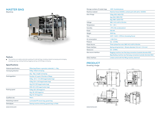## Specifications

Storage numbers of master bags

# **[PRODUCT](http://www.nswautomation.co.th)**

| <b>Material specification</b> | Pillow bag (Power or granular materials): 1-5kg    |  |  |
|-------------------------------|----------------------------------------------------|--|--|
| Conveying direction           | 0.5kg : Infeed conveying                           |  |  |
|                               | 1kg - 5kg : Length conveying                       |  |  |
| Packingpattern                | Number of Layers X Number of Bags:                 |  |  |
|                               | $0.5kg: 12\times4 + 2\times1$ (50 bags/master bag) |  |  |
|                               | 0.5kg: 10×4 (40 bags/master bag)                   |  |  |
|                               | 1kg: 10×2 (20 bags/master bag)                     |  |  |
|                               | 5KG: 10×1 (20 bags/master bag)                     |  |  |
| Packing speed                 | 0.5kg: 120-130 bags/min                            |  |  |
|                               | 1kg: 80-100 bags/min                               |  |  |
|                               | 5kg: 40-45 bags/min                                |  |  |
| Qualified rate                | 99.4%                                              |  |  |
| Masterbag material            | Laminated PP woven bag, gusset bag                 |  |  |
| Sewingtype                    | Sewing machine stitching, gusset bag, no folds     |  |  |

| Machine material     | <b>Machine frame SU</b>       |
|----------------------|-------------------------------|
| Size of bags         | 0.5kg: (920-960)×7            |
|                      | 1kg: (960-980)×72             |
|                      | 5kg: (980-1100)×7             |
| Voltage              | 380 V AC (±10%)               |
| Temperature          | $0^\circ$ c - 45 $^\circ$ c   |
| Humidity             | ≤75% (No conden:              |
| Power                | 9.24 kW                       |
| Weight               | 3500 Kg                       |
| <b>Size</b>          | 4537 × 2400 × 297             |
| Air consumption      | $\leq$ 1.8m <sup>3</sup> /min |
| Pressure             | $0.6 - 0.7 MPa$               |
| <b>Power Source</b>  | Three-phase five-             |
| Power interface      | Spring wiring termi           |
| Gassource            | $0.5 - 0.7MPa$                |
| Gas source interface | <b>Bagging machine,</b>       |
|                      | <b>Bag feeding machi</b>      |
| Other interface      | Linked control with           |
|                      |                               |

[www.nixma.com](http://www.nswautomation.co.th)

| >100 Hundred pieces |  |
|---------------------|--|
|                     |  |

20  $30±1Hz$  $(720$ JS304, contact part with salt is SUS304 sation) 72mm (Including fence) 720  $B$  two fast plug connectors (outside diameter Ø12) Spring wiring terminal, Minwire diameter 3×6 mm<sup>2</sup> + 2×4 mm<sup>2</sup> h the filling machine, electrical  $\sin$ ag fast plug connectors (outside diameter Ø12)  $-wire. 380V$  AC ( $\pm 10\%$ ) 50 $\pm 1$ Hz

## [MASTER BAG](http://www.nswautomation.co.th) Machine



#### Feature

autobag opening, autobag feeding, bagging, sewing, and full bags conveying. The machine can realize automatic packing of small salt bag, including material conveying and arranging,

[www.nixma.com](http://www.nswautomation.co.th)